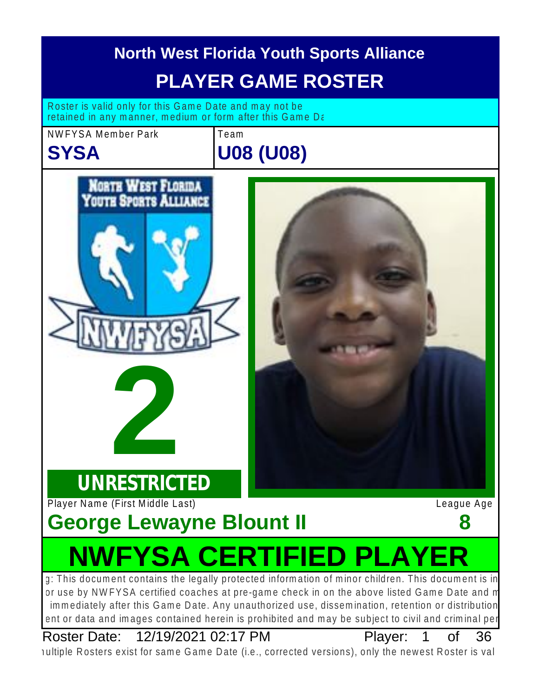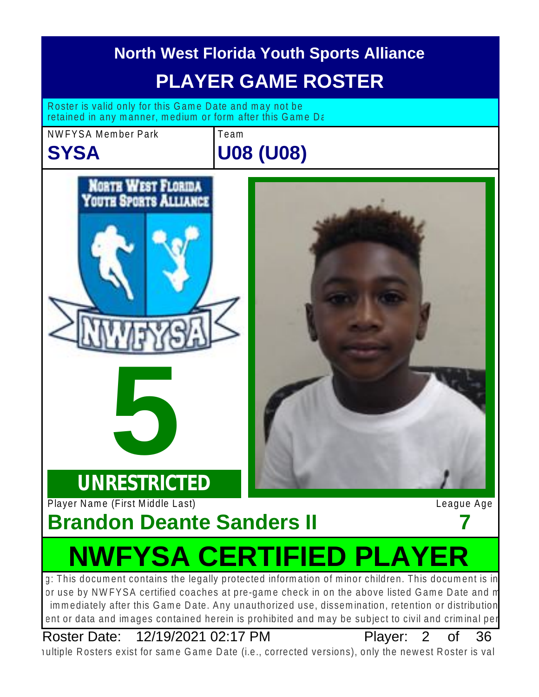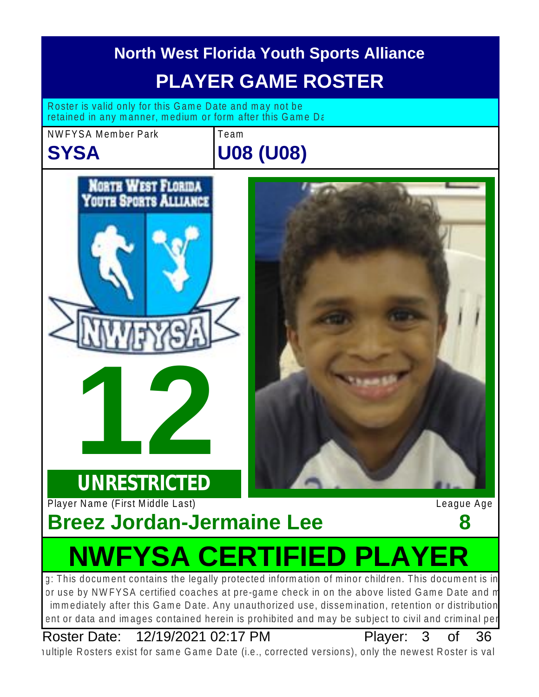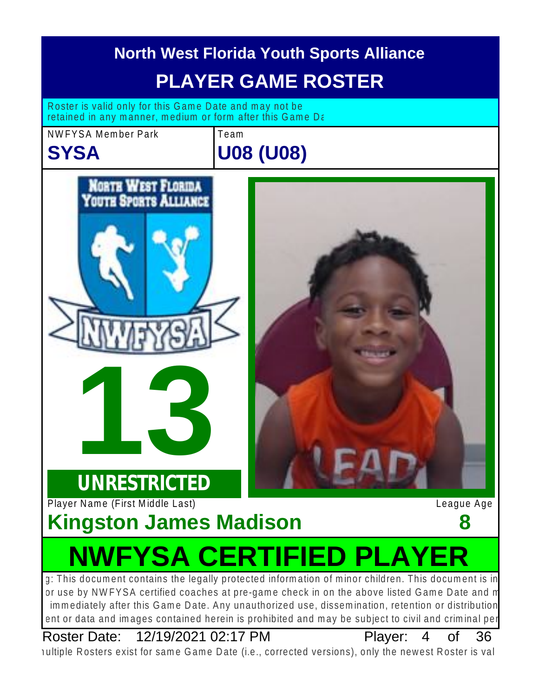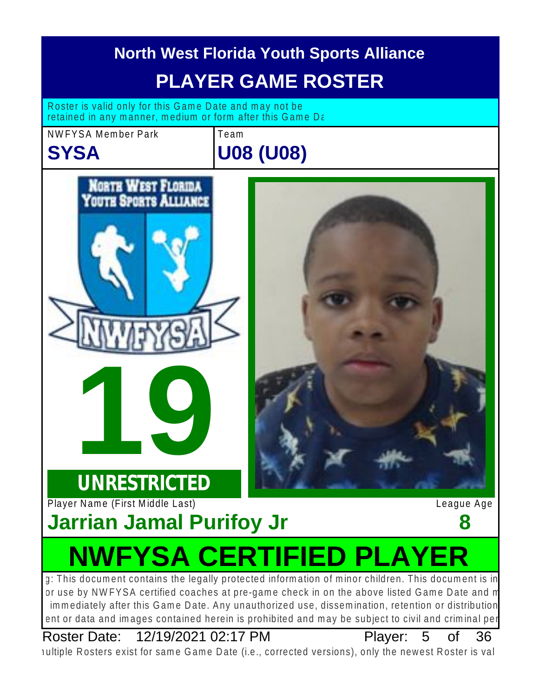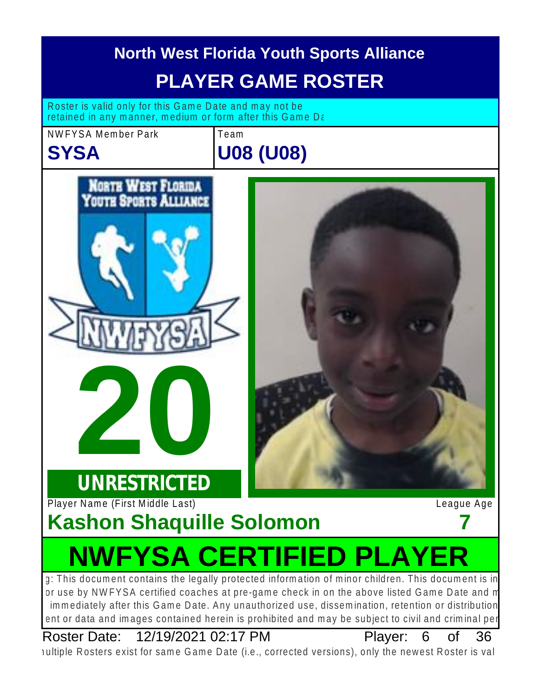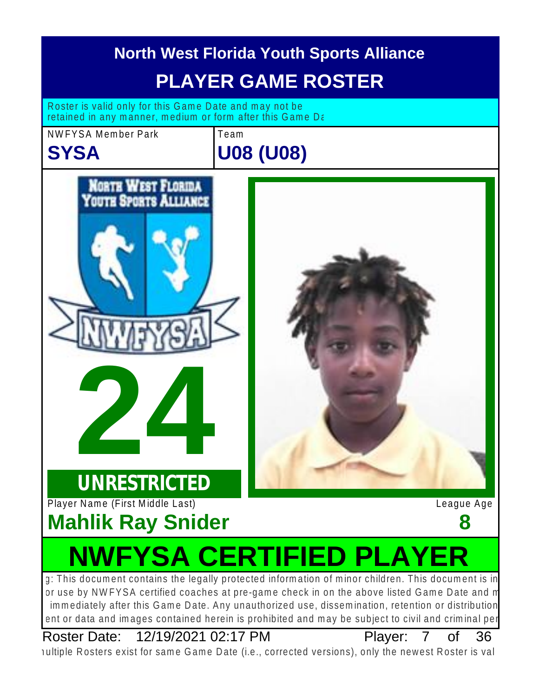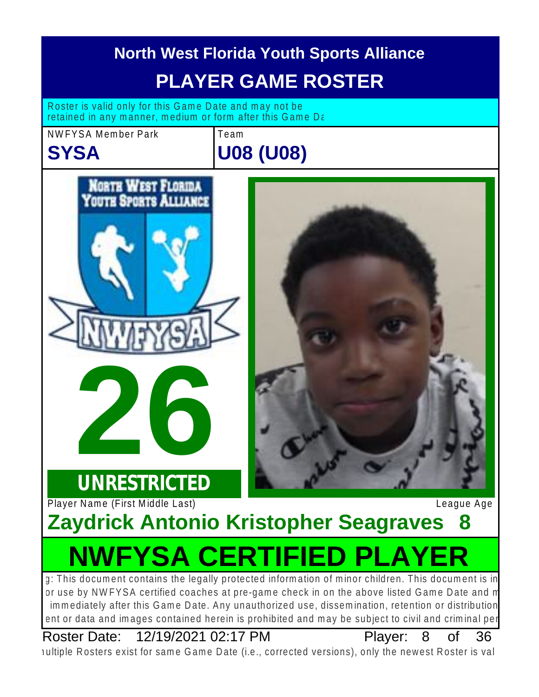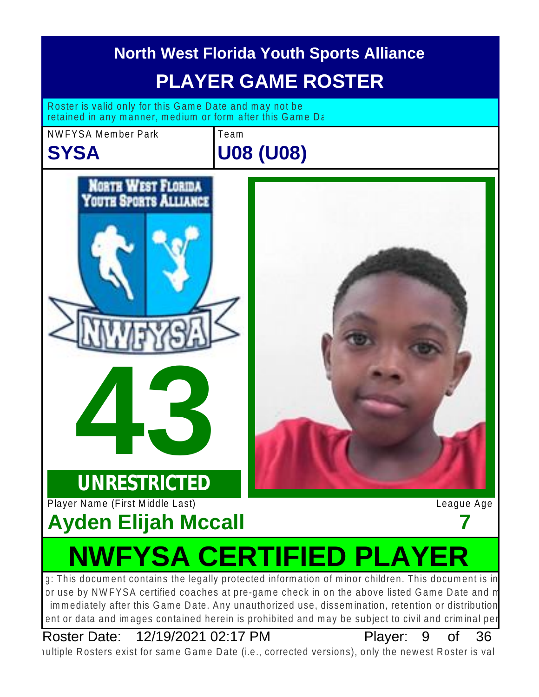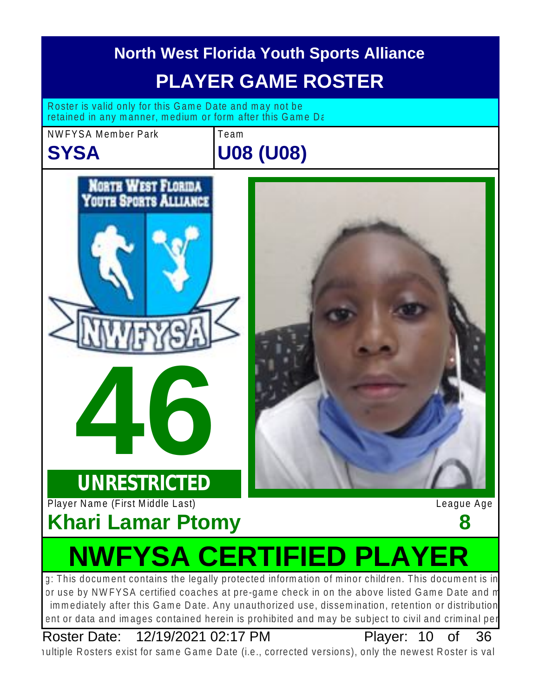

Roster Date: 12/19/2021 02:17 PM Player: 10 of 36

Player: 10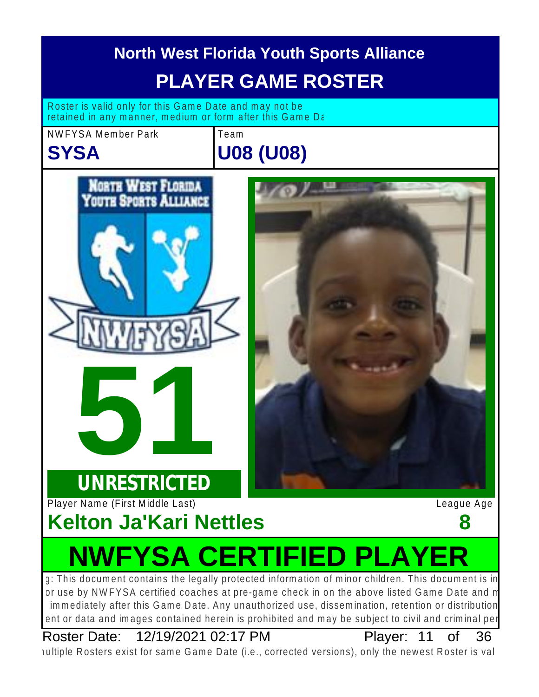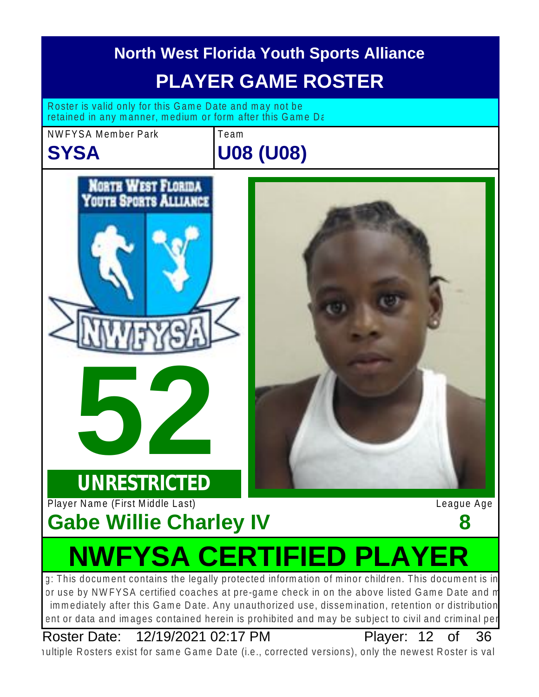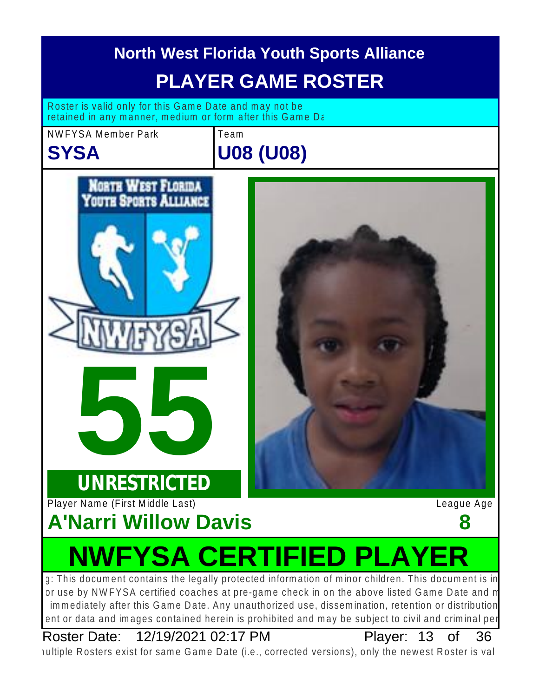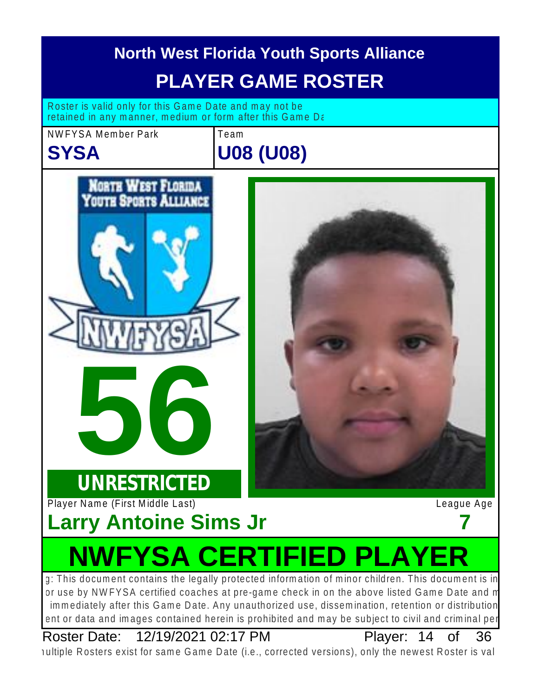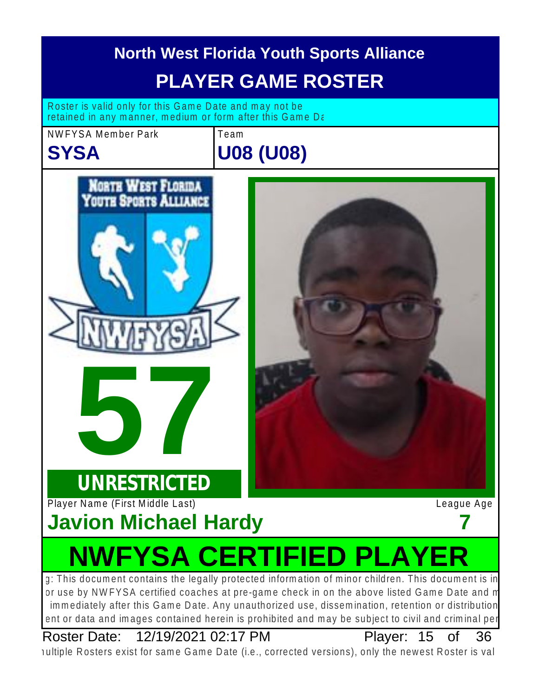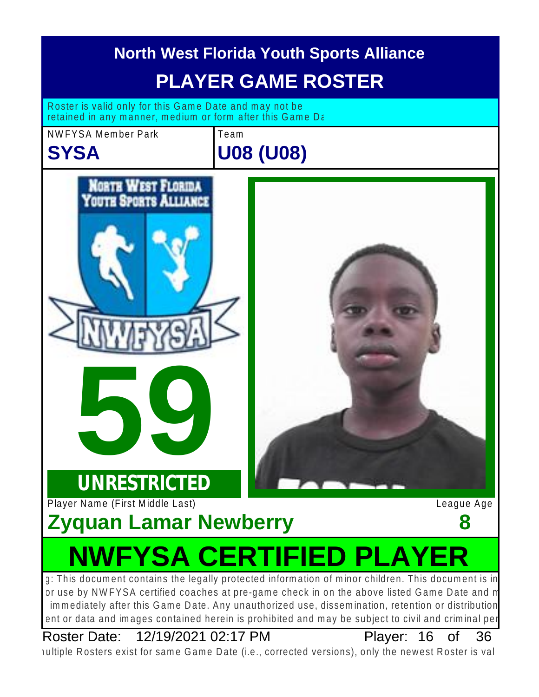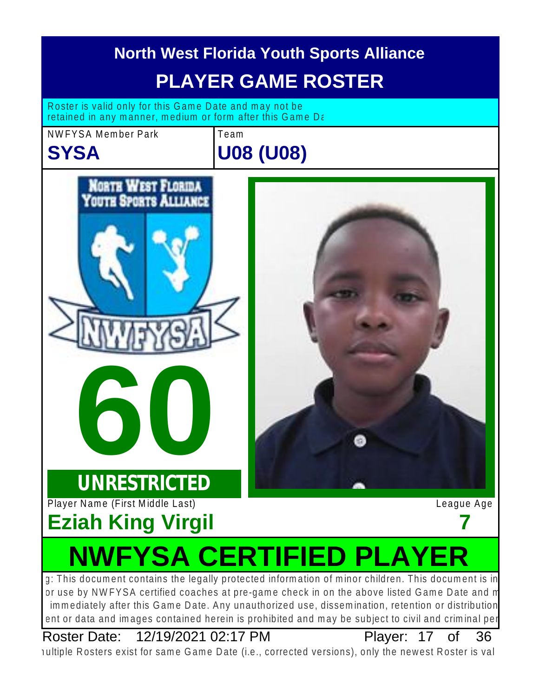

Roster Date: 12/19/2021 02:17 PM Player: 17 of 36

Plaver: 17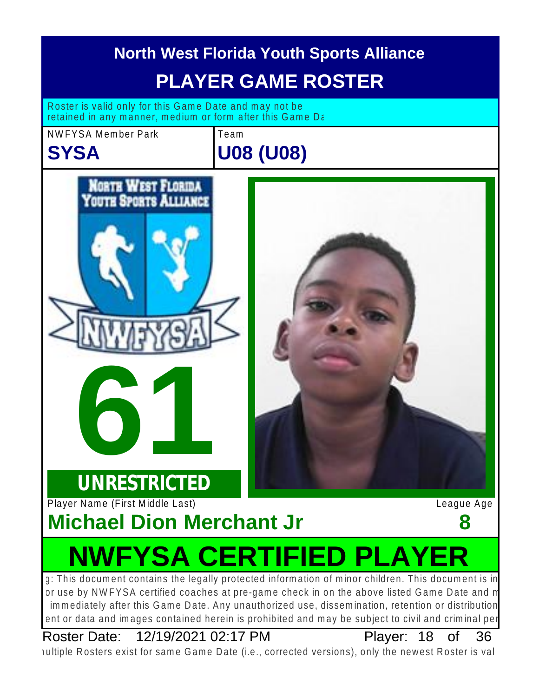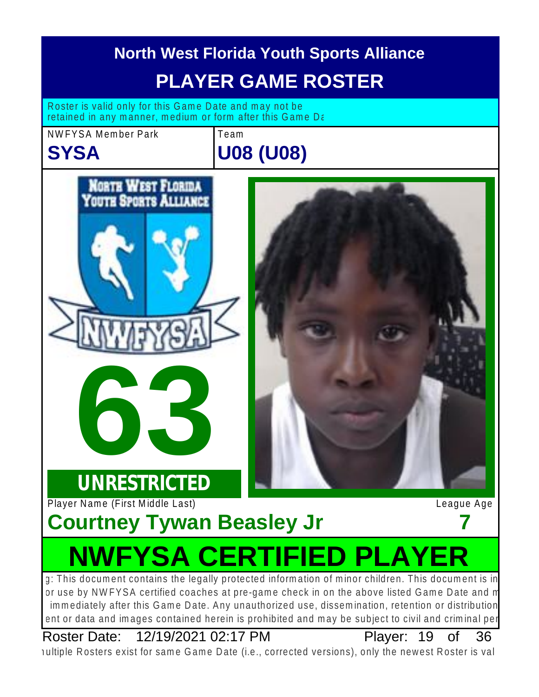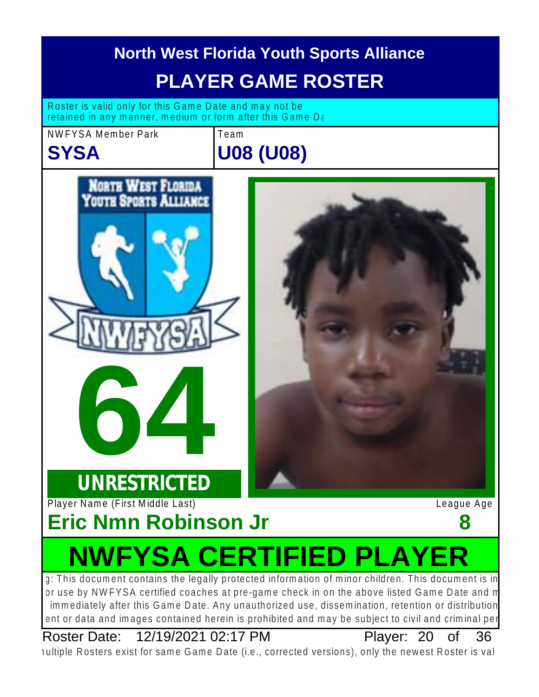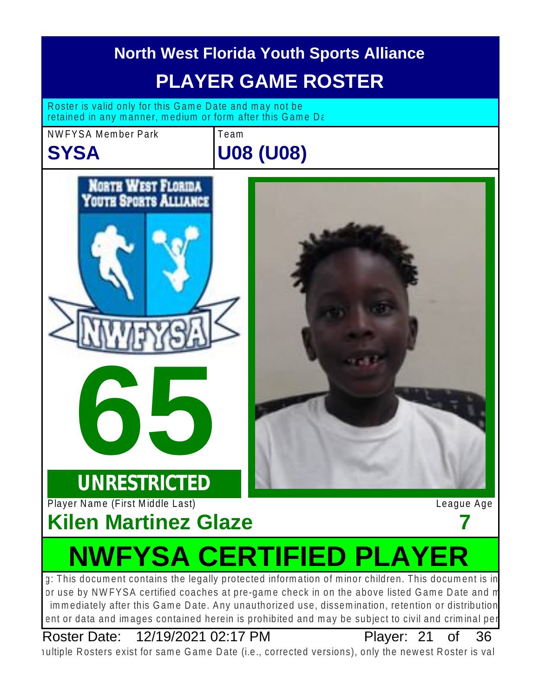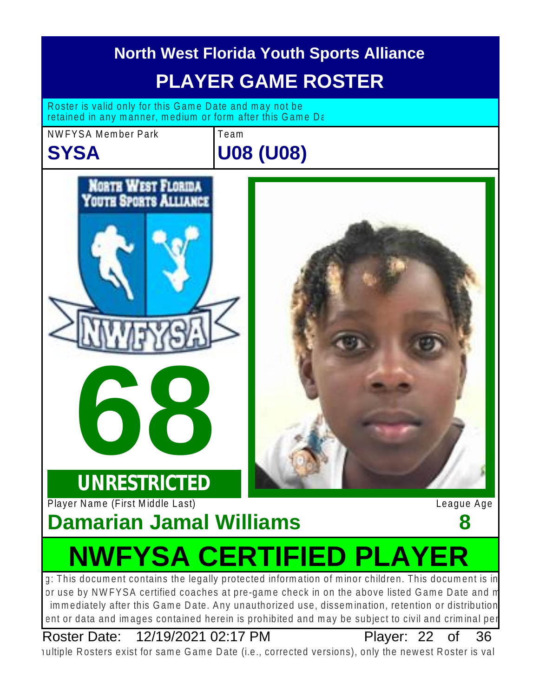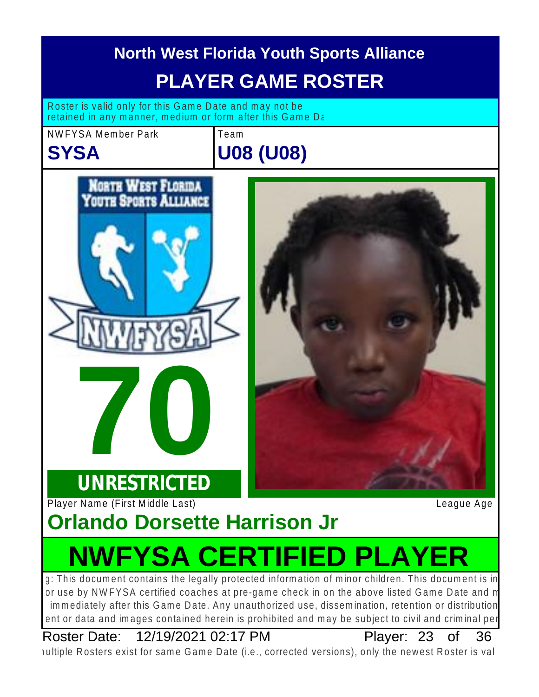

Roster Date: 12/19/2021 02:17 PM Player: 23 of 36

Plaver: 23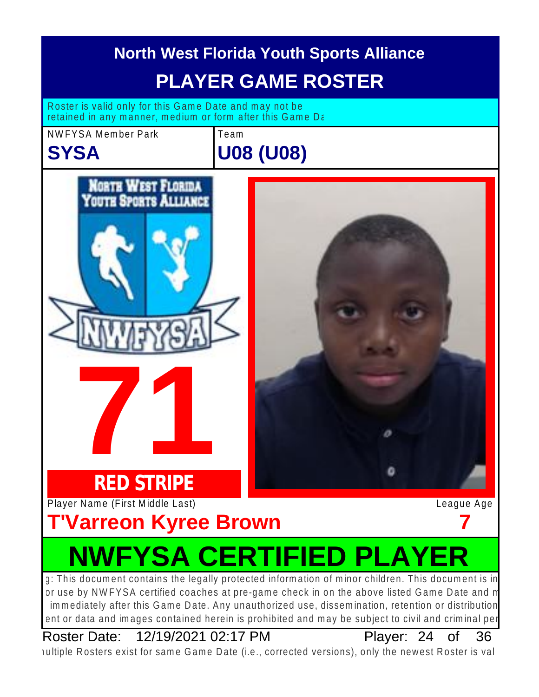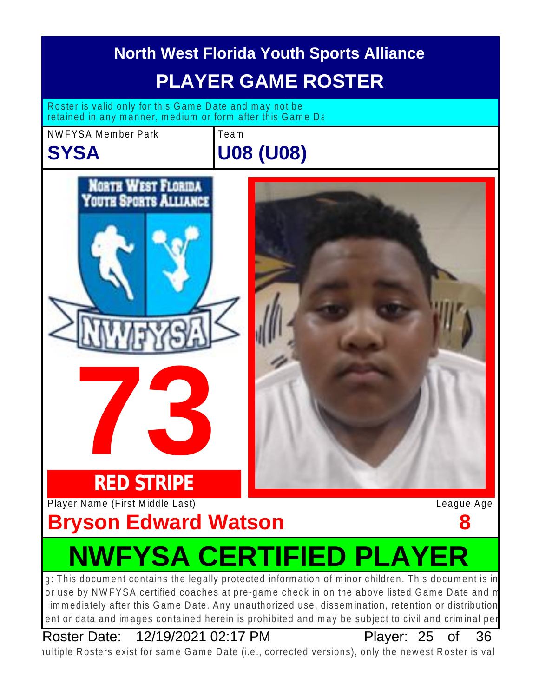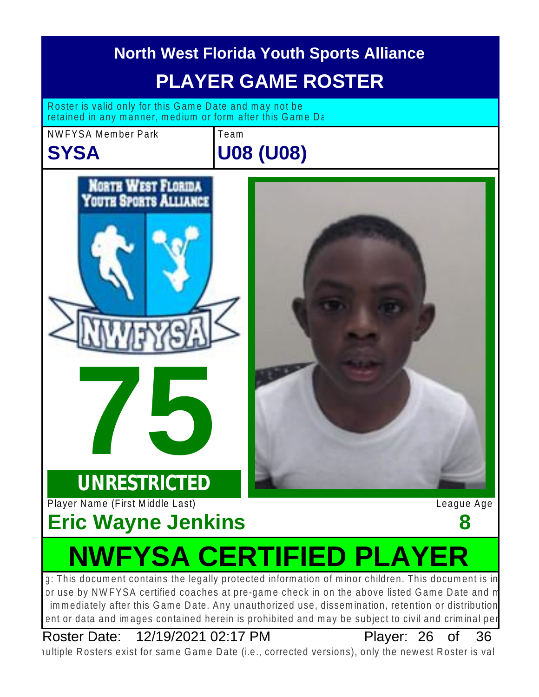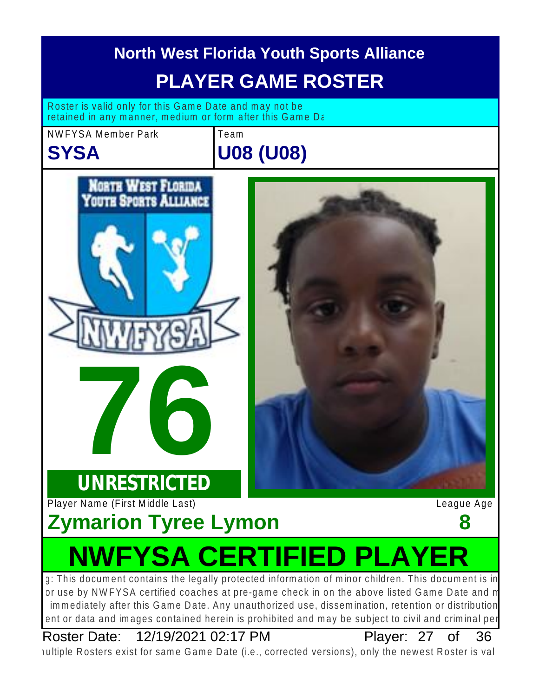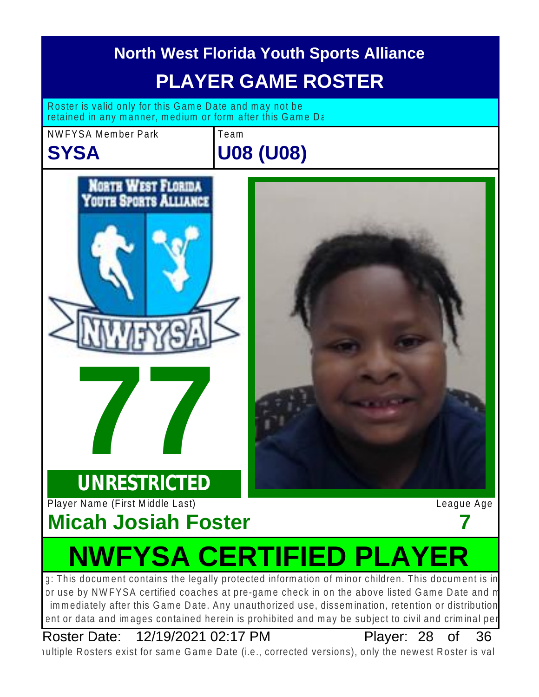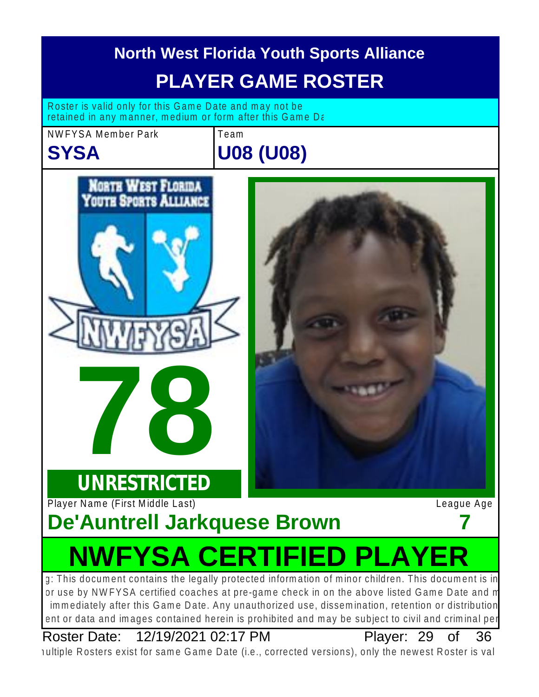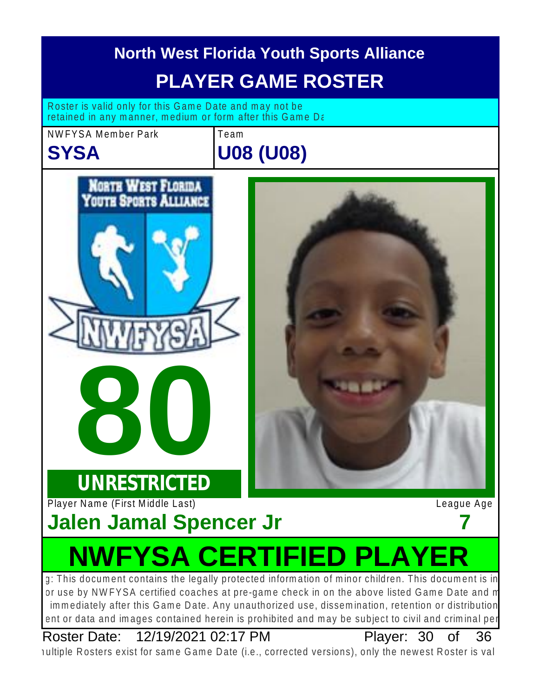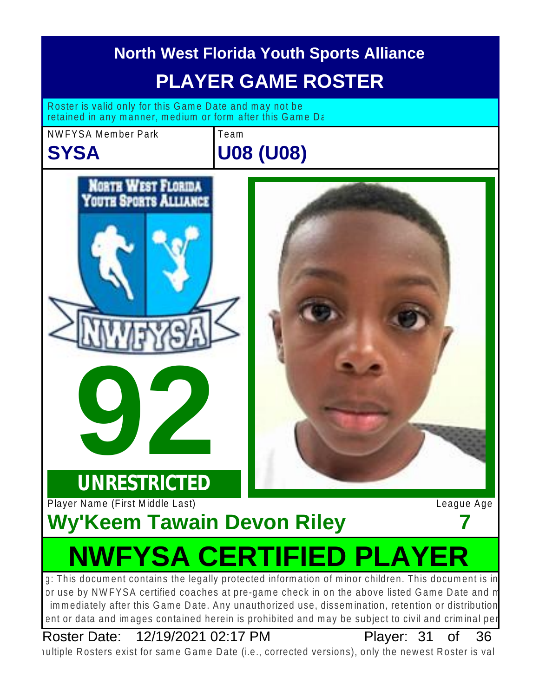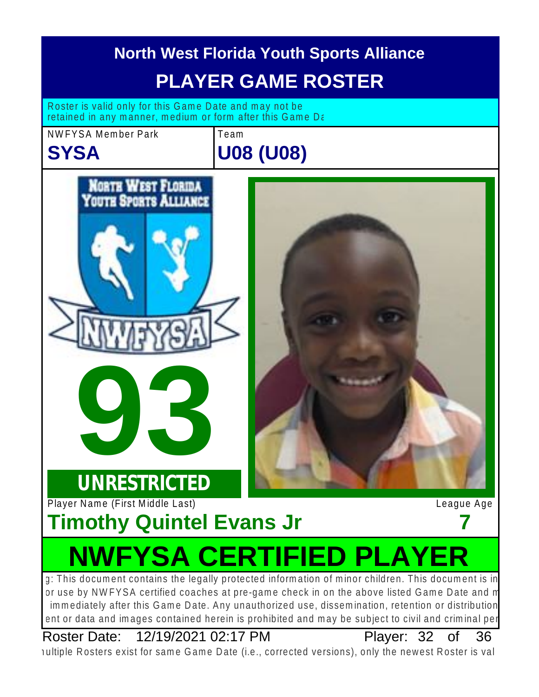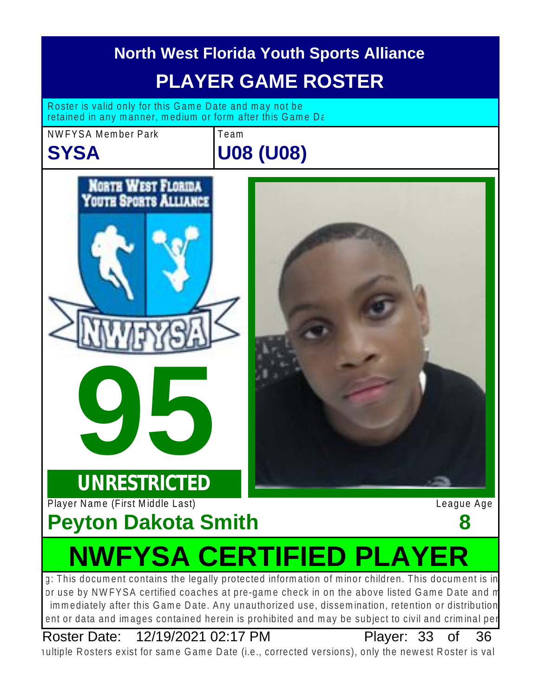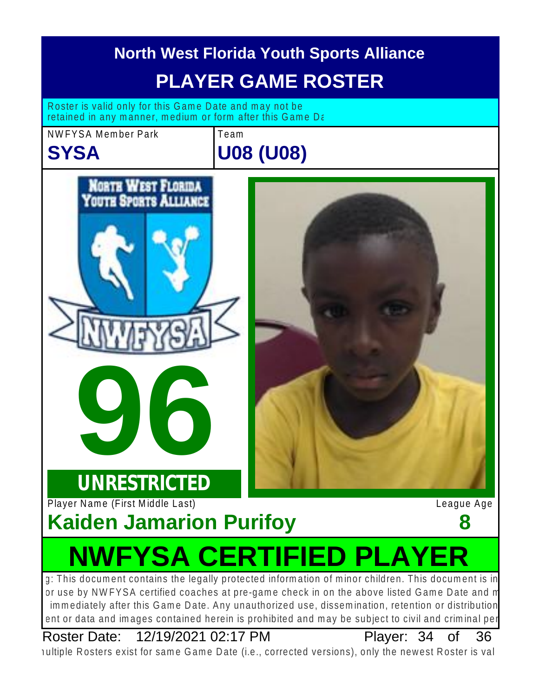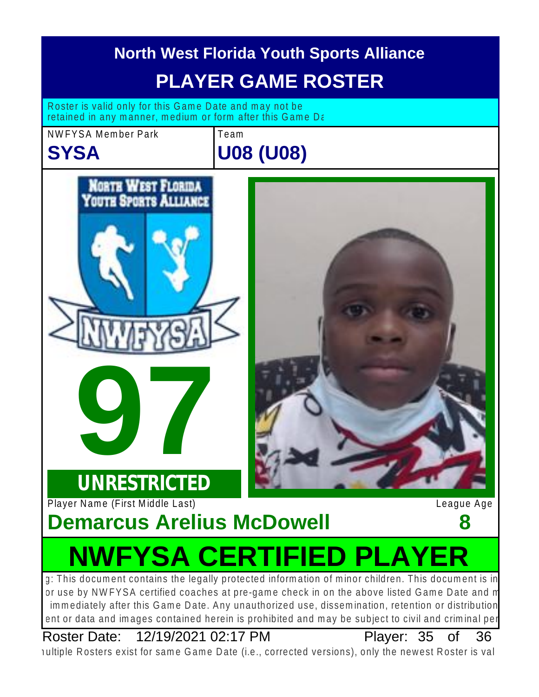